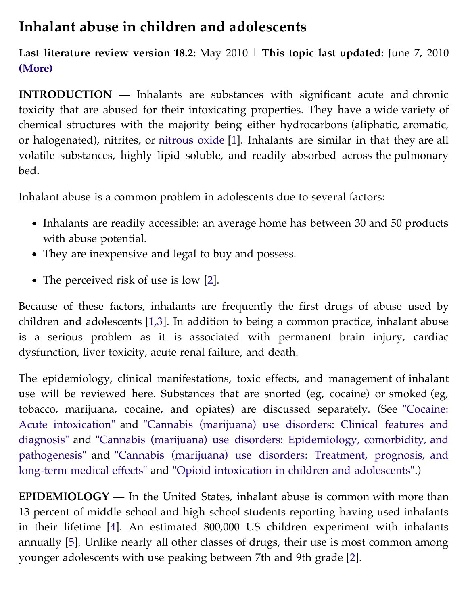## **Inhalant abuse in children and adolescents**

**Last literature review version 18.2:** May 2010 | **This topic last updated:** June 7, 2010 **(More)**

**INTRODUCTION** — Inhalants are substances with significant acute and chronic toxicity that are abused for their intoxicating properties. They have a wide variety of chemical structures with the majority being either hydrocarbons (aliphatic, aromatic, or halogenated), nitrites, or [nitrous oxide](https://vpn.ucsf.edu/online/content/,DanaInfo=www.uptodate.com+topic.do?topicKey=drug_l_z/36265&source=see_link) [[1](https://vpn.ucsf.edu/online/content/,DanaInfo=www.uptodate.com+abstract.do?topicKey=ped_tox%2F6962&refNum=1)]. Inhalants are similar in that they are all volatile substances, highly lipid soluble, and readily absorbed across the pulmonary bed.

Inhalant abuse is a common problem in adolescents due to several factors:

- Inhalants are readily accessible: an average home has between 30 and 50 products with abuse potential.
- They are inexpensive and legal to buy and possess.
- The perceived risk of use is low [[2\]](https://vpn.ucsf.edu/online/content/,DanaInfo=www.uptodate.com+abstract.do?topicKey=ped_tox%2F6962&refNum=2).

Because of these factors, inhalants are frequently the first drugs of abuse used by children and adolescents [[1,3](https://vpn.ucsf.edu/online/content/,DanaInfo=www.uptodate.com+abstract.do?topicKey=ped_tox%2F6962&refNum=1%2C3)]. In addition to being a common practice, inhalant abuse is a serious problem as it is associated with permanent brain injury, cardiac dysfunction, liver toxicity, acute renal failure, and death.

The epidemiology, clinical manifestations, toxic effects, and management of inhalant use will be reviewed here. Substances that are snorted (eg, cocaine) or smoked (eg, [tobacco, marijuana, cocaine, and opiates\) are discussed separately. \(See "Cocaine:](https://vpn.ucsf.edu/online/content/,DanaInfo=www.uptodate.com+topic.do?topicKey=ad_tox/12972&source=see_link) [Acute intoxication" and "Cannabis \(marijuana\) use disorders: Clinical features and](https://vpn.ucsf.edu/online/content/,DanaInfo=www.uptodate.com+topic.do?topicKey=substan/8121&source=see_link) [diagnosis" and "Cannabis \(marijuana\) use disorders: Epidemiology, comorbidity, and](https://vpn.ucsf.edu/online/content/,DanaInfo=www.uptodate.com+topic.do?topicKey=substan/11256&source=see_link) [pathogenesis" and "Cannabis \(marijuana\) use disorders: Treatment, prognosis, and](https://vpn.ucsf.edu/online/content/,DanaInfo=www.uptodate.com+topic.do?topicKey=substan/10367&source=see_link) long-term medical effects" and ["Opioid intoxication in children and adolescents".](https://vpn.ucsf.edu/online/content/,DanaInfo=www.uptodate.com+topic.do?topicKey=ped_tox/7445&source=see_link))

**EPIDEMIOLOGY** — In the United States, inhalant abuse is common with more than 13 percent of middle school and high school students reporting having used inhalants in their lifetime [\[4\]](https://vpn.ucsf.edu/online/content/,DanaInfo=www.uptodate.com+abstract.do?topicKey=ped_tox%2F6962&refNum=4). An estimated 800,000 US children experiment with inhalants annually [[5](https://vpn.ucsf.edu/online/content/,DanaInfo=www.uptodate.com+abstract.do?topicKey=ped_tox%2F6962&refNum=5)]. Unlike nearly all other classes of drugs, their use is most common among younger adolescents with use peaking between 7th and 9th grade [[2](https://vpn.ucsf.edu/online/content/,DanaInfo=www.uptodate.com+abstract.do?topicKey=ped_tox%2F6962&refNum=2)].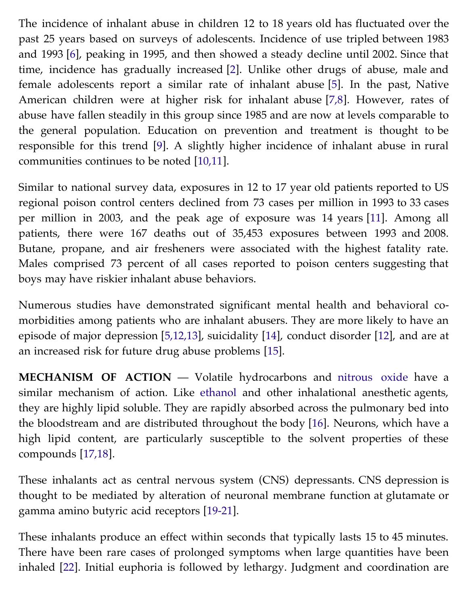The incidence of inhalant abuse in children 12 to 18 years old has fluctuated over the past 25 years based on surveys of adolescents. Incidence of use tripled between 1983 and 1993 [[6\]](https://vpn.ucsf.edu/online/content/,DanaInfo=www.uptodate.com+abstract.do?topicKey=ped_tox%2F6962&refNum=6), peaking in 1995, and then showed a steady decline until 2002. Since that time, incidence has gradually increased [\[2](https://vpn.ucsf.edu/online/content/,DanaInfo=www.uptodate.com+abstract.do?topicKey=ped_tox%2F6962&refNum=2)]. Unlike other drugs of abuse, male and female adolescents report a similar rate of inhalant abuse [[5](https://vpn.ucsf.edu/online/content/,DanaInfo=www.uptodate.com+abstract.do?topicKey=ped_tox%2F6962&refNum=5)]. In the past, Native American children were at higher risk for inhalant abuse [[7,8](https://vpn.ucsf.edu/online/content/,DanaInfo=www.uptodate.com+abstract.do?topicKey=ped_tox%2F6962&refNum=7%2C8)]. However, rates of abuse have fallen steadily in this group since 1985 and are now at levels comparable to the general population. Education on prevention and treatment is thought to be responsible for this trend [\[9](https://vpn.ucsf.edu/online/content/,DanaInfo=www.uptodate.com+abstract.do?topicKey=ped_tox%2F6962&refNum=9)]. A slightly higher incidence of inhalant abuse in rural communities continues to be noted [[10,11\]](https://vpn.ucsf.edu/online/content/,DanaInfo=www.uptodate.com+abstract.do?topicKey=ped_tox%2F6962&refNum=10%2C11).

Similar to national survey data, exposures in 12 to 17 year old patients reported to US regional poison control centers declined from 73 cases per million in 1993 to 33 cases per million in 2003, and the peak age of exposure was 14 years [\[11\]](https://vpn.ucsf.edu/online/content/,DanaInfo=www.uptodate.com+abstract.do?topicKey=ped_tox%2F6962&refNum=11). Among all patients, there were 167 deaths out of 35,453 exposures between 1993 and 2008. Butane, propane, and air fresheners were associated with the highest fatality rate. Males comprised 73 percent of all cases reported to poison centers suggesting that boys may have riskier inhalant abuse behaviors.

Numerous studies have demonstrated significant mental health and behavioral comorbidities among patients who are inhalant abusers. They are more likely to have an episode of major depression [[5,12,13\]](https://vpn.ucsf.edu/online/content/,DanaInfo=www.uptodate.com+abstract.do?topicKey=ped_tox%2F6962&refNum=5%2C12%2C13), suicidality [[14](https://vpn.ucsf.edu/online/content/,DanaInfo=www.uptodate.com+abstract.do?topicKey=ped_tox%2F6962&refNum=14)], conduct disorder [[12](https://vpn.ucsf.edu/online/content/,DanaInfo=www.uptodate.com+abstract.do?topicKey=ped_tox%2F6962&refNum=12)], and are at an increased risk for future drug abuse problems [[15](https://vpn.ucsf.edu/online/content/,DanaInfo=www.uptodate.com+abstract.do?topicKey=ped_tox%2F6962&refNum=15)].

**MECHANISM OF ACTION** — Volatile hydrocarbons and [nitrous oxide](https://vpn.ucsf.edu/online/content/,DanaInfo=www.uptodate.com+topic.do?topicKey=drug_l_z/36265&source=see_link) have a similar mechanism of action. Like [ethanol](https://vpn.ucsf.edu/online/content/,DanaInfo=www.uptodate.com+topic.do?topicKey=ped_drug/72660&source=see_link) and other inhalational anesthetic agents, they are highly lipid soluble. They are rapidly absorbed across the pulmonary bed into the bloodstream and are distributed throughout the body [\[16\]](https://vpn.ucsf.edu/online/content/,DanaInfo=www.uptodate.com+abstract.do?topicKey=ped_tox%2F6962&refNum=16). Neurons, which have a high lipid content, are particularly susceptible to the solvent properties of these compounds [\[17,18](https://vpn.ucsf.edu/online/content/,DanaInfo=www.uptodate.com+abstract.do?topicKey=ped_tox%2F6962&refNum=17%2C18)].

These inhalants act as central nervous system (CNS) depressants. CNS depression is thought to be mediated by alteration of neuronal membrane function at glutamate or gamma amino butyric acid receptors [[19-21](https://vpn.ucsf.edu/online/content/,DanaInfo=www.uptodate.com+abstract.do?topicKey=ped_tox%2F6962&refNum=19-21)].

These inhalants produce an effect within seconds that typically lasts 15 to 45 minutes. There have been rare cases of prolonged symptoms when large quantities have been inhaled [[22](https://vpn.ucsf.edu/online/content/,DanaInfo=www.uptodate.com+abstract.do?topicKey=ped_tox%2F6962&refNum=22)]. Initial euphoria is followed by lethargy. Judgment and coordination are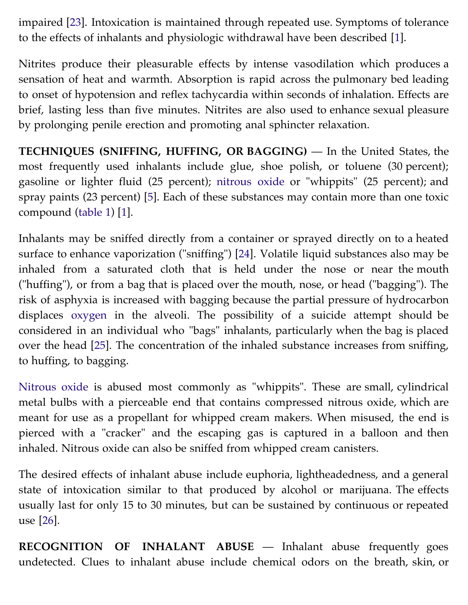impaired [[23](https://vpn.ucsf.edu/online/content/,DanaInfo=www.uptodate.com+abstract.do?topicKey=ped_tox%2F6962&refNum=23)]. Intoxication is maintained through repeated use. Symptoms of tolerance to the effects of inhalants and physiologic withdrawal have been described [\[1\]](https://vpn.ucsf.edu/online/content/,DanaInfo=www.uptodate.com+abstract.do?topicKey=ped_tox%2F6962&refNum=1).

Nitrites produce their pleasurable effects by intense vasodilation which produces a sensation of heat and warmth. Absorption is rapid across the pulmonary bed leading to onset of hypotension and reflex tachycardia within seconds of inhalation. Effects are brief, lasting less than five minutes. Nitrites are also used to enhance sexual pleasure by prolonging penile erection and promoting anal sphincter relaxation.

**TECHNIQUES (SNIFFING, HUFFING, OR BAGGING)** — In the United States, the most frequently used inhalants include glue, shoe polish, or toluene (30 percent); gasoline or lighter fluid (25 percent); [nitrous oxide](https://vpn.ucsf.edu/online/content/,DanaInfo=www.uptodate.com+topic.do?topicKey=drug_l_z/36265&source=see_link) or "whippits" (25 percent); and spray paints (23 percent) [\[5](https://vpn.ucsf.edu/online/content/,DanaInfo=www.uptodate.com+abstract.do?topicKey=ped_tox%2F6962&refNum=5)]. Each of these substances may contain more than one toxic compound ([table 1](https://vpn.ucsf.edu/online/content/,DanaInfo=www.uptodate.com+image.do?imageKey=PEDS%2F21308)) [[1](https://vpn.ucsf.edu/online/content/,DanaInfo=www.uptodate.com+abstract.do?topicKey=ped_tox%2F6962&refNum=1)].

Inhalants may be sniffed directly from a container or sprayed directly on to a heated surface to enhance vaporization ("sniffing") [\[24\]](https://vpn.ucsf.edu/online/content/,DanaInfo=www.uptodate.com+abstract.do?topicKey=ped_tox%2F6962&refNum=24). Volatile liquid substances also may be inhaled from a saturated cloth that is held under the nose or near the mouth ("huffing"), or from a bag that is placed over the mouth, nose, or head ("bagging"). The risk of asphyxia is increased with bagging because the partial pressure of hydrocarbon displaces [oxygen](https://vpn.ucsf.edu/online/content/,DanaInfo=www.uptodate.com+topic.do?topicKey=drug_l_z/59794&source=see_link) in the alveoli. The possibility of a suicide attempt should be considered in an individual who "bags" inhalants, particularly when the bag is placed over the head [[25](https://vpn.ucsf.edu/online/content/,DanaInfo=www.uptodate.com+abstract.do?topicKey=ped_tox%2F6962&refNum=25)]. The concentration of the inhaled substance increases from sniffing, to huffing, to bagging.

[Nitrous oxide](https://vpn.ucsf.edu/online/content/,DanaInfo=www.uptodate.com+topic.do?topicKey=drug_l_z/36265&source=see_link) is abused most commonly as "whippits". These are small, cylindrical metal bulbs with a pierceable end that contains compressed nitrous oxide, which are meant for use as a propellant for whipped cream makers. When misused, the end is pierced with a "cracker" and the escaping gas is captured in a balloon and then inhaled. Nitrous oxide can also be sniffed from whipped cream canisters.

The desired effects of inhalant abuse include euphoria, lightheadedness, and a general state of intoxication similar to that produced by alcohol or marijuana. The effects usually last for only 15 to 30 minutes, but can be sustained by continuous or repeated use [[26](https://vpn.ucsf.edu/online/content/,DanaInfo=www.uptodate.com+abstract.do?topicKey=ped_tox%2F6962&refNum=26)].

**RECOGNITION OF INHALANT ABUSE** — Inhalant abuse frequently goes undetected. Clues to inhalant abuse include chemical odors on the breath, skin, or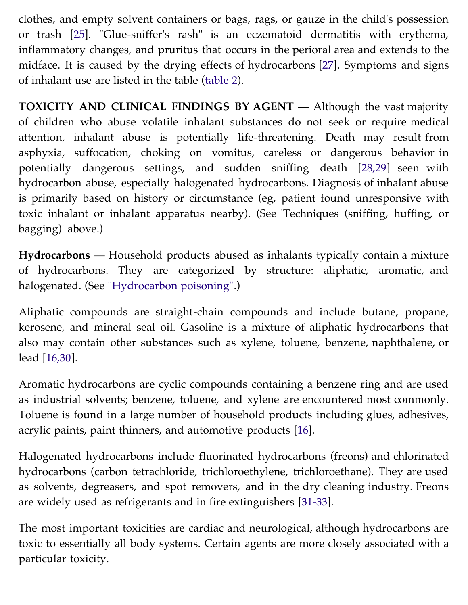clothes, and empty solvent containers or bags, rags, or gauze in the child's possession or trash [\[25\]](https://vpn.ucsf.edu/online/content/,DanaInfo=www.uptodate.com+abstract.do?topicKey=ped_tox%2F6962&refNum=25). "Glue-sniffer's rash" is an eczematoid dermatitis with erythema, inflammatory changes, and pruritus that occurs in the perioral area and extends to the midface. It is caused by the drying effects of hydrocarbons [[27](https://vpn.ucsf.edu/online/content/,DanaInfo=www.uptodate.com+abstract.do?topicKey=ped_tox%2F6962&refNum=27)]. Symptoms and signs of inhalant use are listed in the table [\(table 2\)](https://vpn.ucsf.edu/online/content/,DanaInfo=www.uptodate.com+image.do?imageKey=PEDS%2F21118).

**TOXICITY AND CLINICAL FINDINGS BY AGENT** — Although the vast majority of children who abuse volatile inhalant substances do not seek or require medical attention, inhalant abuse is potentially life-threatening. Death may result from asphyxia, suffocation, choking on vomitus, careless or dangerous behavior in potentially dangerous settings, and sudden sniffing death [\[28,29](https://vpn.ucsf.edu/online/content/,DanaInfo=www.uptodate.com+abstract.do?topicKey=ped_tox%2F6962&refNum=28%2C29)] seen with hydrocarbon abuse, especially halogenated hydrocarbons. Diagnosis of inhalant abuse is primarily based on history or circumstance (eg, patient found unresponsive with toxic inhalant or inhalant apparatus nearby). (See 'Techniques (sniffing, huffing, or bagging)' above.)

**Hydrocarbons** — Household products abused as inhalants typically contain a mixture of hydrocarbons. They are categorized by structure: aliphatic, aromatic, and halogenated. (See ["Hydrocarbon poisoning"](https://vpn.ucsf.edu/online/content/,DanaInfo=www.uptodate.com+topic.do?topicKey=ped_tox/11453&source=see_link).)

Aliphatic compounds are straight-chain compounds and include butane, propane, kerosene, and mineral seal oil. Gasoline is a mixture of aliphatic hydrocarbons that also may contain other substances such as xylene, toluene, benzene, naphthalene, or lead [\[16,30](https://vpn.ucsf.edu/online/content/,DanaInfo=www.uptodate.com+abstract.do?topicKey=ped_tox%2F6962&refNum=16%2C30)].

Aromatic hydrocarbons are cyclic compounds containing a benzene ring and are used as industrial solvents; benzene, toluene, and xylene are encountered most commonly. Toluene is found in a large number of household products including glues, adhesives, acrylic paints, paint thinners, and automotive products [\[16\]](https://vpn.ucsf.edu/online/content/,DanaInfo=www.uptodate.com+abstract.do?topicKey=ped_tox%2F6962&refNum=16).

Halogenated hydrocarbons include fluorinated hydrocarbons (freons) and chlorinated hydrocarbons (carbon tetrachloride, trichloroethylene, trichloroethane). They are used as solvents, degreasers, and spot removers, and in the dry cleaning industry. Freons are widely used as refrigerants and in fire extinguishers [[31-33](https://vpn.ucsf.edu/online/content/,DanaInfo=www.uptodate.com+abstract.do?topicKey=ped_tox%2F6962&refNum=31-33)].

The most important toxicities are cardiac and neurological, although hydrocarbons are toxic to essentially all body systems. Certain agents are more closely associated with a particular toxicity.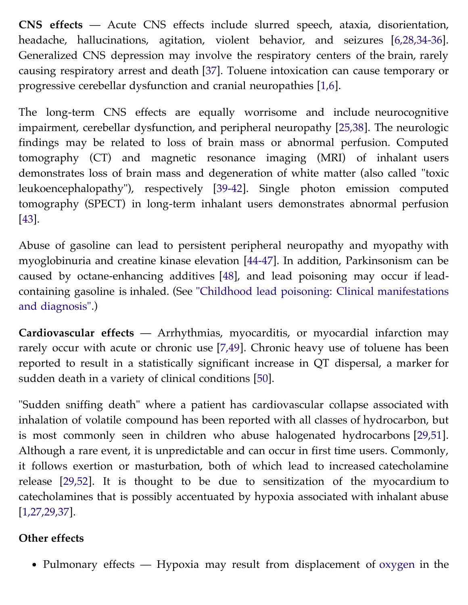**CNS effects** — Acute CNS effects include slurred speech, ataxia, disorientation, headache, hallucinations, agitation, violent behavior, and seizures [\[6,28,34-36\]](https://vpn.ucsf.edu/online/content/,DanaInfo=www.uptodate.com+abstract.do?topicKey=ped_tox%2F6962&refNum=6%2C28%2C34-36). Generalized CNS depression may involve the respiratory centers of the brain, rarely causing respiratory arrest and death [\[37\]](https://vpn.ucsf.edu/online/content/,DanaInfo=www.uptodate.com+abstract.do?topicKey=ped_tox%2F6962&refNum=37). Toluene intoxication can cause temporary or progressive cerebellar dysfunction and cranial neuropathies [[1,6](https://vpn.ucsf.edu/online/content/,DanaInfo=www.uptodate.com+abstract.do?topicKey=ped_tox%2F6962&refNum=1%2C6)].

The long-term CNS effects are equally worrisome and include neurocognitive impairment, cerebellar dysfunction, and peripheral neuropathy [[25,38](https://vpn.ucsf.edu/online/content/,DanaInfo=www.uptodate.com+abstract.do?topicKey=ped_tox%2F6962&refNum=25%2C38)]. The neurologic findings may be related to loss of brain mass or abnormal perfusion. Computed tomography (CT) and magnetic resonance imaging (MRI) of inhalant users demonstrates loss of brain mass and degeneration of white matter (also called "toxic leukoencephalopathy"), respectively [[39-42](https://vpn.ucsf.edu/online/content/,DanaInfo=www.uptodate.com+abstract.do?topicKey=ped_tox%2F6962&refNum=39-42)]. Single photon emission computed tomography (SPECT) in long-term inhalant users demonstrates abnormal perfusion [\[43\]](https://vpn.ucsf.edu/online/content/,DanaInfo=www.uptodate.com+abstract.do?topicKey=ped_tox%2F6962&refNum=43).

Abuse of gasoline can lead to persistent peripheral neuropathy and myopathy with myoglobinuria and creatine kinase elevation [[44-47](https://vpn.ucsf.edu/online/content/,DanaInfo=www.uptodate.com+abstract.do?topicKey=ped_tox%2F6962&refNum=44-47)]. In addition, Parkinsonism can be caused by octane-enhancing additives [[48](https://vpn.ucsf.edu/online/content/,DanaInfo=www.uptodate.com+abstract.do?topicKey=ped_tox%2F6962&refNum=48)], and lead poisoning may occur if lead[containing gasoline is inhaled. \(See "Childhood lead poisoning: Clinical manifestations](https://vpn.ucsf.edu/online/content/,DanaInfo=www.uptodate.com+topic.do?topicKey=ped_tox/12530&source=see_link) and diagnosis".)

**Cardiovascular effects** — Arrhythmias, myocarditis, or myocardial infarction may rarely occur with acute or chronic use [\[7,49](https://vpn.ucsf.edu/online/content/,DanaInfo=www.uptodate.com+abstract.do?topicKey=ped_tox%2F6962&refNum=7%2C49)]. Chronic heavy use of toluene has been reported to result in a statistically significant increase in QT dispersal, a marker for sudden death in a variety of clinical conditions [\[50\]](https://vpn.ucsf.edu/online/content/,DanaInfo=www.uptodate.com+abstract.do?topicKey=ped_tox%2F6962&refNum=50).

"Sudden sniffing death" where a patient has cardiovascular collapse associated with inhalation of volatile compound has been reported with all classes of hydrocarbon, but is most commonly seen in children who abuse halogenated hydrocarbons [[29,51\]](https://vpn.ucsf.edu/online/content/,DanaInfo=www.uptodate.com+abstract.do?topicKey=ped_tox%2F6962&refNum=29%2C51). Although a rare event, it is unpredictable and can occur in first time users. Commonly, it follows exertion or masturbation, both of which lead to increased catecholamine release [[29,52\]](https://vpn.ucsf.edu/online/content/,DanaInfo=www.uptodate.com+abstract.do?topicKey=ped_tox%2F6962&refNum=29%2C52). It is thought to be due to sensitization of the myocardium to catecholamines that is possibly accentuated by hypoxia associated with inhalant abuse [\[1,27,29,37\]](https://vpn.ucsf.edu/online/content/,DanaInfo=www.uptodate.com+abstract.do?topicKey=ped_tox%2F6962&refNum=1%2C27%2C29%2C37).

## **Other effects**

• Pulmonary effects — Hypoxia may result from displacement of [oxygen](https://vpn.ucsf.edu/online/content/,DanaInfo=www.uptodate.com+topic.do?topicKey=drug_l_z/59794&source=see_link) in the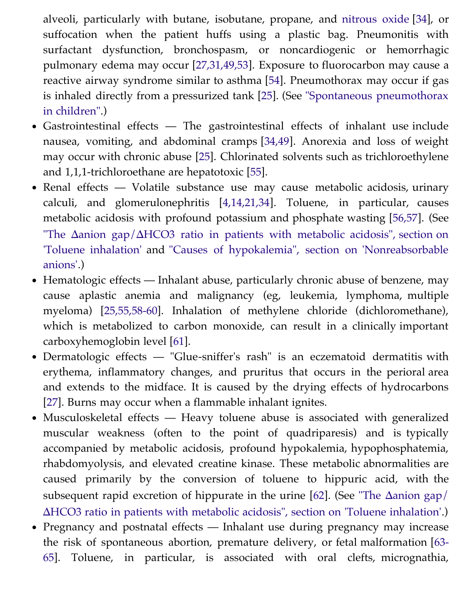alveoli, particularly with butane, isobutane, propane, and [nitrous oxide](https://vpn.ucsf.edu/online/content/,DanaInfo=www.uptodate.com+topic.do?topicKey=drug_l_z/36265&source=see_link) [\[34\]](https://vpn.ucsf.edu/online/content/,DanaInfo=www.uptodate.com+abstract.do?topicKey=ped_tox%2F6962&refNum=34), or suffocation when the patient huffs using a plastic bag. Pneumonitis with surfactant dysfunction, bronchospasm, or noncardiogenic or hemorrhagic pulmonary edema may occur [\[27,31,49,53](https://vpn.ucsf.edu/online/content/,DanaInfo=www.uptodate.com+abstract.do?topicKey=ped_tox%2F6962&refNum=27%2C31%2C49%2C53)]. Exposure to fluorocarbon may cause a reactive airway syndrome similar to asthma [[54](https://vpn.ucsf.edu/online/content/,DanaInfo=www.uptodate.com+abstract.do?topicKey=ped_tox%2F6962&refNum=54)]. Pneumothorax may occur if gas [is inhaled directly from a pressurized tank \[](https://vpn.ucsf.edu/online/content/,DanaInfo=www.uptodate.com+topic.do?topicKey=pedipulm/10010&source=see_link)[2](https://vpn.ucsf.edu/online/content/,DanaInfo=www.uptodate.com+abstract.do?topicKey=ped_tox%2F6962&refNum=25)[5\]. \(See "Spontaneous pneumothorax](https://vpn.ucsf.edu/online/content/,DanaInfo=www.uptodate.com+topic.do?topicKey=pedipulm/10010&source=see_link) in children".)

- Gastrointestinal effects The gastrointestinal effects of inhalant use include nausea, vomiting, and abdominal cramps [[34,49\]](https://vpn.ucsf.edu/online/content/,DanaInfo=www.uptodate.com+abstract.do?topicKey=ped_tox%2F6962&refNum=34%2C49). Anorexia and loss of weight may occur with chronic abuse [\[25\]](https://vpn.ucsf.edu/online/content/,DanaInfo=www.uptodate.com+abstract.do?topicKey=ped_tox%2F6962&refNum=25). Chlorinated solvents such as trichloroethylene and 1,1,1-trichloroethane are hepatotoxic [[55](https://vpn.ucsf.edu/online/content/,DanaInfo=www.uptodate.com+abstract.do?topicKey=ped_tox%2F6962&refNum=55)].
- Renal effects Volatile substance use may cause metabolic acidosis, urinary calculi, and glomerulonephritis [[4,14,21,34](https://vpn.ucsf.edu/online/content/,DanaInfo=www.uptodate.com+abstract.do?topicKey=ped_tox%2F6962&refNum=4%2C14%2C21%2C34)]. Toluene, in particular, causes metabolic acidosis with profound potassium and phosphate wasting [[56,57\]](https://vpn.ucsf.edu/online/content/,DanaInfo=www.uptodate.com+abstract.do?topicKey=ped_tox%2F6962&refNum=56%2C57). (See "The Δanion gap/ΔHCO3 ratio in patients with metabolic acidosis", section on ['Toluene inhalation' and "Causes of hypokalemia", section on 'Nonreabsorbable](https://vpn.ucsf.edu/online/content/,DanaInfo=www.uptodate.com+topic.do?topicKey=fldlytes/12498&source=see_link&anchor=H8#H8) anions'.)
- Hematologic effects Inhalant abuse, particularly chronic abuse of benzene, may cause aplastic anemia and malignancy (eg, leukemia, lymphoma, multiple myeloma) [\[25,55,58-60](https://vpn.ucsf.edu/online/content/,DanaInfo=www.uptodate.com+abstract.do?topicKey=ped_tox%2F6962&refNum=25%2C55%2C58-60)]. Inhalation of methylene chloride (dichloromethane), which is metabolized to carbon monoxide, can result in a clinically important carboxyhemoglobin level [[61](https://vpn.ucsf.edu/online/content/,DanaInfo=www.uptodate.com+abstract.do?topicKey=ped_tox%2F6962&refNum=61)].
- Dermatologic effects "Glue-sniffer's rash" is an eczematoid dermatitis with erythema, inflammatory changes, and pruritus that occurs in the perioral area and extends to the midface. It is caused by the drying effects of hydrocarbons [\[27\]](https://vpn.ucsf.edu/online/content/,DanaInfo=www.uptodate.com+abstract.do?topicKey=ped_tox%2F6962&refNum=27). Burns may occur when a flammable inhalant ignites.
- Musculoskeletal effects Heavy toluene abuse is associated with generalized muscular weakness (often to the point of quadriparesis) and is typically accompanied by metabolic acidosis, profound hypokalemia, hypophosphatemia, rhabdomyolysis, and elevated creatine kinase. These metabolic abnormalities are caused primarily by the conversion of toluene to hippuric acid, with the subsequent rapid excretion of hippurate in the urine [[62](https://vpn.ucsf.edu/online/content/,DanaInfo=www.uptodate.com+abstract.do?topicKey=ped_tox%2F6962&refNum=62)]. (See "The Δanion gap/ Δ[HCO3 ratio in patients with metabolic acidosis", section on 'Toluene inhalation'.\)](https://vpn.ucsf.edu/online/content/,DanaInfo=www.uptodate.com+topic.do?topicKey=fldlytes/12498&source=see_link&anchor=H8#H8)
- Pregnancy and postnatal effects Inhalant use during pregnancy may increase [the risk of spontaneous abortion, premature delivery, or fetal malformation \[63-](https://vpn.ucsf.edu/online/content/,DanaInfo=www.uptodate.com+abstract.do?topicKey=ped_tox%2F6962&refNum=63-65) 65]. Toluene, in particular, is associated with oral clefts, micrognathia,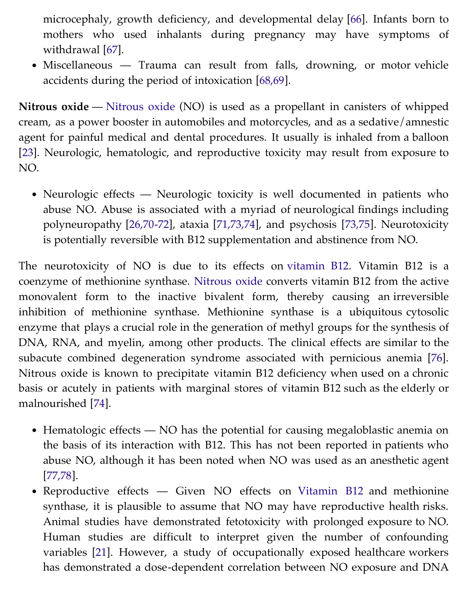microcephaly, growth deficiency, and developmental delay [[66](https://vpn.ucsf.edu/online/content/,DanaInfo=www.uptodate.com+abstract.do?topicKey=ped_tox%2F6962&refNum=66)]. Infants born to mothers who used inhalants during pregnancy may have symptoms of withdrawal [[67](https://vpn.ucsf.edu/online/content/,DanaInfo=www.uptodate.com+abstract.do?topicKey=ped_tox%2F6962&refNum=67)].

• Miscellaneous — Trauma can result from falls, drowning, or motor vehicle accidents during the period of intoxication [[68,69](https://vpn.ucsf.edu/online/content/,DanaInfo=www.uptodate.com+abstract.do?topicKey=ped_tox%2F6962&refNum=68%2C69)].

**Nitrous oxide** — [Nitrous oxide](https://vpn.ucsf.edu/online/content/,DanaInfo=www.uptodate.com+topic.do?topicKey=drug_l_z/36265&source=see_link) (NO) is used as a propellant in canisters of whipped cream, as a power booster in automobiles and motorcycles, and as a sedative/amnestic agent for painful medical and dental procedures. It usually is inhaled from a balloon [\[23\]](https://vpn.ucsf.edu/online/content/,DanaInfo=www.uptodate.com+abstract.do?topicKey=ped_tox%2F6962&refNum=23). Neurologic, hematologic, and reproductive toxicity may result from exposure to NO.

• Neurologic effects — Neurologic toxicity is well documented in patients who abuse NO. Abuse is associated with a myriad of neurological findings including polyneuropathy [\[26,70-72](https://vpn.ucsf.edu/online/content/,DanaInfo=www.uptodate.com+abstract.do?topicKey=ped_tox%2F6962&refNum=26%2C70-72)], ataxia [[71,73,74](https://vpn.ucsf.edu/online/content/,DanaInfo=www.uptodate.com+abstract.do?topicKey=ped_tox%2F6962&refNum=71%2C73%2C74)], and psychosis [[73,75](https://vpn.ucsf.edu/online/content/,DanaInfo=www.uptodate.com+abstract.do?topicKey=ped_tox%2F6962&refNum=73%2C75)]. Neurotoxicity is potentially reversible with B12 supplementation and abstinence from NO.

The neurotoxicity of NO is due to its effects on [vitamin B12](https://vpn.ucsf.edu/online/content/,DanaInfo=www.uptodate.com+topic.do?topicKey=ped_drug/48549&source=see_link). Vitamin B12 is a coenzyme of methionine synthase. [Nitrous oxide](https://vpn.ucsf.edu/online/content/,DanaInfo=www.uptodate.com+topic.do?topicKey=drug_l_z/36265&source=see_link) converts vitamin B12 from the active monovalent form to the inactive bivalent form, thereby causing an irreversible inhibition of methionine synthase. Methionine synthase is a ubiquitous cytosolic enzyme that plays a crucial role in the generation of methyl groups for the synthesis of DNA, RNA, and myelin, among other products. The clinical effects are similar to the subacute combined degeneration syndrome associated with pernicious anemia [\[76\]](https://vpn.ucsf.edu/online/content/,DanaInfo=www.uptodate.com+abstract.do?topicKey=ped_tox%2F6962&refNum=76). Nitrous oxide is known to precipitate vitamin B12 deficiency when used on a chronic basis or acutely in patients with marginal stores of vitamin B12 such as the elderly or malnourished [[74](https://vpn.ucsf.edu/online/content/,DanaInfo=www.uptodate.com+abstract.do?topicKey=ped_tox%2F6962&refNum=74)].

- Hematologic effects NO has the potential for causing megaloblastic anemia on the basis of its interaction with B12. This has not been reported in patients who abuse NO, although it has been noted when NO was used as an anesthetic agent [\[77,78](https://vpn.ucsf.edu/online/content/,DanaInfo=www.uptodate.com+abstract.do?topicKey=ped_tox%2F6962&refNum=77%2C78)].
- Reproductive effects Given NO effects on [Vitamin B12](https://vpn.ucsf.edu/online/content/,DanaInfo=www.uptodate.com+topic.do?topicKey=ped_drug/48549&source=see_link) and methionine synthase, it is plausible to assume that NO may have reproductive health risks. Animal studies have demonstrated fetotoxicity with prolonged exposure to NO. Human studies are difficult to interpret given the number of confounding variables [\[21\]](https://vpn.ucsf.edu/online/content/,DanaInfo=www.uptodate.com+abstract.do?topicKey=ped_tox%2F6962&refNum=21). However, a study of occupationally exposed healthcare workers has demonstrated a dose-dependent correlation between NO exposure and DNA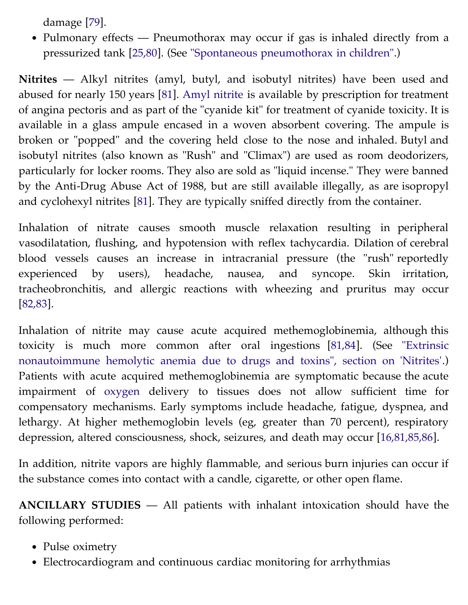damage [\[79\]](https://vpn.ucsf.edu/online/content/,DanaInfo=www.uptodate.com+abstract.do?topicKey=ped_tox%2F6962&refNum=79).

• Pulmonary effects — Pneumothorax may occur if gas is inhaled directly from a pressurized tank [\[25,80](https://vpn.ucsf.edu/online/content/,DanaInfo=www.uptodate.com+abstract.do?topicKey=ped_tox%2F6962&refNum=25%2C80)]. (See ["Spontaneous pneumothorax in children".](https://vpn.ucsf.edu/online/content/,DanaInfo=www.uptodate.com+topic.do?topicKey=pedipulm/10010&source=see_link))

**Nitrites** — Alkyl nitrites (amyl, butyl, and isobutyl nitrites) have been used and abused for nearly 150 years [[81](https://vpn.ucsf.edu/online/content/,DanaInfo=www.uptodate.com+abstract.do?topicKey=ped_tox%2F6962&refNum=81)]. [Amyl nitrite](https://vpn.ucsf.edu/online/content/,DanaInfo=www.uptodate.com+topic.do?topicKey=ped_drug/14588&source=see_link) is available by prescription for treatment of angina pectoris and as part of the "cyanide kit" for treatment of cyanide toxicity. It is available in a glass ampule encased in a woven absorbent covering. The ampule is broken or "popped" and the covering held close to the nose and inhaled. Butyl and isobutyl nitrites (also known as "Rush" and "Climax") are used as room deodorizers, particularly for locker rooms. They also are sold as "liquid incense." They were banned by the Anti-Drug Abuse Act of 1988, but are still available illegally, as are isopropyl and cyclohexyl nitrites [[81](https://vpn.ucsf.edu/online/content/,DanaInfo=www.uptodate.com+abstract.do?topicKey=ped_tox%2F6962&refNum=81)]. They are typically sniffed directly from the container.

Inhalation of nitrate causes smooth muscle relaxation resulting in peripheral vasodilatation, flushing, and hypotension with reflex tachycardia. Dilation of cerebral blood vessels causes an increase in intracranial pressure (the "rush" reportedly experienced by users), headache, nausea, and syncope. Skin irritation, tracheobronchitis, and allergic reactions with wheezing and pruritus may occur [\[82,83](https://vpn.ucsf.edu/online/content/,DanaInfo=www.uptodate.com+abstract.do?topicKey=ped_tox%2F6962&refNum=82%2C83)].

Inhalation of nitrite may cause acute acquired methemoglobinemia, although this [toxicity is much more common after oral ingestions \[](https://vpn.ucsf.edu/online/content/,DanaInfo=www.uptodate.com+topic.do?topicKey=red_cell/20476&source=see_link&anchor=H8#H8)[81,84](https://vpn.ucsf.edu/online/content/,DanaInfo=www.uptodate.com+abstract.do?topicKey=ped_tox%2F6962&refNum=81%2C84)[\]. \(See "Extrinsic](https://vpn.ucsf.edu/online/content/,DanaInfo=www.uptodate.com+topic.do?topicKey=red_cell/20476&source=see_link&anchor=H8#H8) nonautoimmune hemolytic anemia due to drugs and toxins", section on 'Nitrites'.) Patients with acute acquired methemoglobinemia are symptomatic because the acute impairment of [oxygen](https://vpn.ucsf.edu/online/content/,DanaInfo=www.uptodate.com+topic.do?topicKey=drug_l_z/59794&source=see_link) delivery to tissues does not allow sufficient time for compensatory mechanisms. Early symptoms include headache, fatigue, dyspnea, and lethargy. At higher methemoglobin levels (eg, greater than 70 percent), respiratory depression, altered consciousness, shock, seizures, and death may occur [[16,81,85,86\]](https://vpn.ucsf.edu/online/content/,DanaInfo=www.uptodate.com+abstract.do?topicKey=ped_tox%2F6962&refNum=16%2C81%2C85%2C86).

In addition, nitrite vapors are highly flammable, and serious burn injuries can occur if the substance comes into contact with a candle, cigarette, or other open flame.

**ANCILLARY STUDIES** — All patients with inhalant intoxication should have the following performed:

- Pulse oximetry
- Electrocardiogram and continuous cardiac monitoring for arrhythmias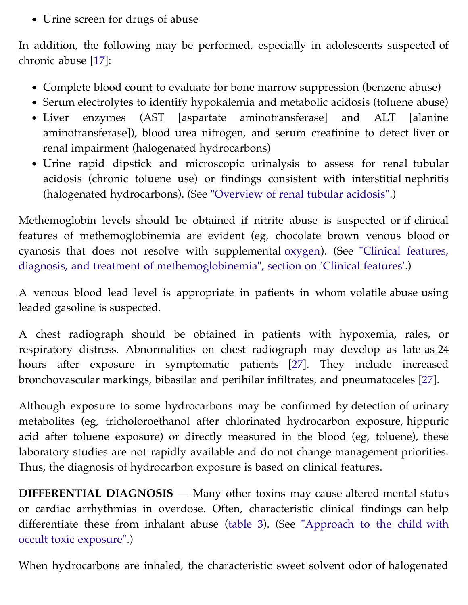Urine screen for drugs of abuse

In addition, the following may be performed, especially in adolescents suspected of chronic abuse [[17](https://vpn.ucsf.edu/online/content/,DanaInfo=www.uptodate.com+abstract.do?topicKey=ped_tox%2F6962&refNum=17)]:

- Complete blood count to evaluate for bone marrow suppression (benzene abuse)
- Serum electrolytes to identify hypokalemia and metabolic acidosis (toluene abuse)
- Liver enzymes (AST [aspartate aminotransferase] and ALT [alanine aminotransferase]), blood urea nitrogen, and serum creatinine to detect liver or renal impairment (halogenated hydrocarbons)
- Urine rapid dipstick and microscopic urinalysis to assess for renal tubular acidosis (chronic toluene use) or findings consistent with interstitial nephritis (halogenated hydrocarbons). (See ["Overview of renal tubular acidosis"](https://vpn.ucsf.edu/online/content/,DanaInfo=www.uptodate.com+topic.do?topicKey=fldlytes/4625&source=see_link).)

Methemoglobin levels should be obtained if nitrite abuse is suspected or if clinical features of methemoglobinemia are evident (eg, chocolate brown venous blood or [cyanosis that does not resolve with supplemental](https://vpn.ucsf.edu/online/content/,DanaInfo=www.uptodate.com+topic.do?topicKey=red_cell/17575&source=see_link&anchor=H7#H7) [oxygen](https://vpn.ucsf.edu/online/content/,DanaInfo=www.uptodate.com+topic.do?topicKey=drug_l_z/59794&source=see_link)[\). \(See "Clinical features,](https://vpn.ucsf.edu/online/content/,DanaInfo=www.uptodate.com+topic.do?topicKey=red_cell/17575&source=see_link&anchor=H7#H7) diagnosis, and treatment of methemoglobinemia", section on 'Clinical features'.)

A venous blood lead level is appropriate in patients in whom volatile abuse using leaded gasoline is suspected.

A chest radiograph should be obtained in patients with hypoxemia, rales, or respiratory distress. Abnormalities on chest radiograph may develop as late as 24 hours after exposure in symptomatic patients [[27](https://vpn.ucsf.edu/online/content/,DanaInfo=www.uptodate.com+abstract.do?topicKey=ped_tox%2F6962&refNum=27)]. They include increased bronchovascular markings, bibasilar and perihilar infiltrates, and pneumatoceles [\[27\]](https://vpn.ucsf.edu/online/content/,DanaInfo=www.uptodate.com+abstract.do?topicKey=ped_tox%2F6962&refNum=27).

Although exposure to some hydrocarbons may be confirmed by detection of urinary metabolites (eg, tricholoroethanol after chlorinated hydrocarbon exposure, hippuric acid after toluene exposure) or directly measured in the blood (eg, toluene), these laboratory studies are not rapidly available and do not change management priorities. Thus, the diagnosis of hydrocarbon exposure is based on clinical features.

**DIFFERENTIAL DIAGNOSIS** — Many other toxins may cause altered mental status or cardiac arrhythmias in overdose. Often, characteristic clinical findings can help [differentiate these from inhalant abuse \(t](https://vpn.ucsf.edu/online/content/,DanaInfo=www.uptodate.com+topic.do?topicKey=ped_tox/3023&source=see_link)[able](https://vpn.ucsf.edu/online/content/,DanaInfo=www.uptodate.com+image.do?imageKey=EM%2F4067) [3\). \(See "Approach to the child with](https://vpn.ucsf.edu/online/content/,DanaInfo=www.uptodate.com+topic.do?topicKey=ped_tox/3023&source=see_link) occult toxic exposure".)

When hydrocarbons are inhaled, the characteristic sweet solvent odor of halogenated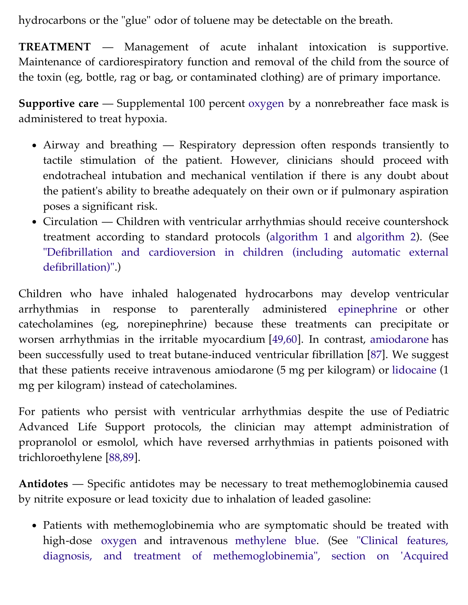hydrocarbons or the "glue" odor of toluene may be detectable on the breath.

**TREATMENT** — Management of acute inhalant intoxication is supportive. Maintenance of cardiorespiratory function and removal of the child from the source of the toxin (eg, bottle, rag or bag, or contaminated clothing) are of primary importance.

**Supportive care** — Supplemental 100 percent [oxygen](https://vpn.ucsf.edu/online/content/,DanaInfo=www.uptodate.com+topic.do?topicKey=drug_l_z/59794&source=see_link) by a nonrebreather face mask is administered to treat hypoxia.

- Airway and breathing Respiratory depression often responds transiently to tactile stimulation of the patient. However, clinicians should proceed with endotracheal intubation and mechanical ventilation if there is any doubt about the patient's ability to breathe adequately on their own or if pulmonary aspiration poses a significant risk.
- Circulation Children with ventricular arrhythmias should receive countershock treatment according to standard protocols [\(algorithm 1](https://vpn.ucsf.edu/online/content/,DanaInfo=www.uptodate.com+image.do?imageKey=PEDS%2F20586) and [algorithm 2](https://vpn.ucsf.edu/online/content/,DanaInfo=www.uptodate.com+image.do?imageKey=PEDS%2F20587)). (See ["Defibrillation and cardioversion in children \(including automatic external](https://vpn.ucsf.edu/online/content/,DanaInfo=www.uptodate.com+topic.do?topicKey=ped_proc/11155&source=see_link) defibrillation)".)

Children who have inhaled halogenated hydrocarbons may develop ventricular arrhythmias in response to parenterally administered [epinephrine](https://vpn.ucsf.edu/online/content/,DanaInfo=www.uptodate.com+topic.do?topicKey=ped_drug/68589&source=see_link) or other catecholamines (eg, norepinephrine) because these treatments can precipitate or worsen arrhythmias in the irritable myocardium [\[49,60](https://vpn.ucsf.edu/online/content/,DanaInfo=www.uptodate.com+abstract.do?topicKey=ped_tox%2F6962&refNum=49%2C60)]. In contrast, [amiodarone](https://vpn.ucsf.edu/online/content/,DanaInfo=www.uptodate.com+topic.do?topicKey=ped_drug/11177&source=see_link) has been successfully used to treat butane-induced ventricular fibrillation [\[87\]](https://vpn.ucsf.edu/online/content/,DanaInfo=www.uptodate.com+abstract.do?topicKey=ped_tox%2F6962&refNum=87). We suggest that these patients receive intravenous amiodarone (5 mg per kilogram) or [lidocaine](https://vpn.ucsf.edu/online/content/,DanaInfo=www.uptodate.com+topic.do?topicKey=ped_drug/103058&source=see_link) (1 mg per kilogram) instead of catecholamines.

For patients who persist with ventricular arrhythmias despite the use of Pediatric Advanced Life Support protocols, the clinician may attempt administration of propranolol or esmolol, which have reversed arrhythmias in patients poisoned with trichloroethylene [[88,89\]](https://vpn.ucsf.edu/online/content/,DanaInfo=www.uptodate.com+abstract.do?topicKey=ped_tox%2F6962&refNum=88%2C89).

**Antidotes** — Specific antidotes may be necessary to treat methemoglobinemia caused by nitrite exposure or lead toxicity due to inhalation of leaded gasoline:

• Patients with methemoglobinemia who are symptomatic should be treated with high-dose [oxygen](https://vpn.ucsf.edu/online/content/,DanaInfo=www.uptodate.com+topic.do?topicKey=drug_l_z/59794&source=see_link) and intravenous [methylene blue](https://vpn.ucsf.edu/online/content/,DanaInfo=www.uptodate.com+topic.do?topicKey=ped_drug/114649&source=see_link). (See "Clinical features, [diagnosis, and treatment of methemoglobinemia", section on 'Acquired](https://vpn.ucsf.edu/online/content/,DanaInfo=www.uptodate.com+topic.do?topicKey=red_cell/17575&source=see_link&anchor=H13#H13)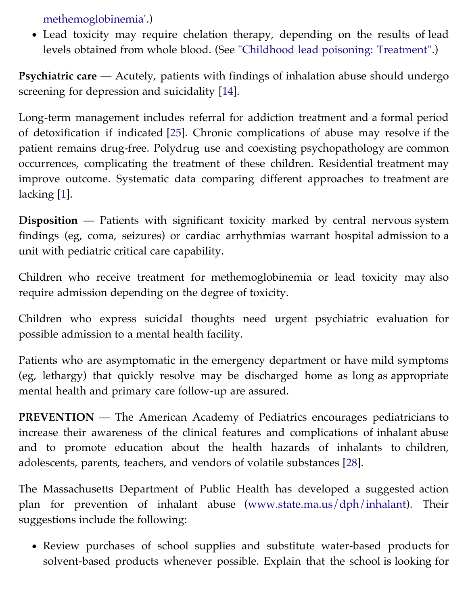[methemoglobinemia'.\)](https://vpn.ucsf.edu/online/content/,DanaInfo=www.uptodate.com+topic.do?topicKey=red_cell/17575&source=see_link&anchor=H13#H13)

Lead toxicity may require chelation therapy, depending on the results of lead levels obtained from whole blood. (See ["Childhood lead poisoning: Treatment"](https://vpn.ucsf.edu/online/content/,DanaInfo=www.uptodate.com+topic.do?topicKey=ped_tox/13637&source=see_link).)

**Psychiatric care** — Acutely, patients with findings of inhalation abuse should undergo screening for depression and suicidality [[14](https://vpn.ucsf.edu/online/content/,DanaInfo=www.uptodate.com+abstract.do?topicKey=ped_tox%2F6962&refNum=14)].

Long-term management includes referral for addiction treatment and a formal period of detoxification if indicated [[25](https://vpn.ucsf.edu/online/content/,DanaInfo=www.uptodate.com+abstract.do?topicKey=ped_tox%2F6962&refNum=25)]. Chronic complications of abuse may resolve if the patient remains drug-free. Polydrug use and coexisting psychopathology are common occurrences, complicating the treatment of these children. Residential treatment may improve outcome. Systematic data comparing different approaches to treatment are lacking [[1\]](https://vpn.ucsf.edu/online/content/,DanaInfo=www.uptodate.com+abstract.do?topicKey=ped_tox%2F6962&refNum=1).

**Disposition** — Patients with significant toxicity marked by central nervous system findings (eg, coma, seizures) or cardiac arrhythmias warrant hospital admission to a unit with pediatric critical care capability.

Children who receive treatment for methemoglobinemia or lead toxicity may also require admission depending on the degree of toxicity.

Children who express suicidal thoughts need urgent psychiatric evaluation for possible admission to a mental health facility.

Patients who are asymptomatic in the emergency department or have mild symptoms (eg, lethargy) that quickly resolve may be discharged home as long as appropriate mental health and primary care follow-up are assured.

**PREVENTION** — The American Academy of Pediatrics encourages pediatricians to increase their awareness of the clinical features and complications of inhalant abuse and to promote education about the health hazards of inhalants to children, adolescents, parents, teachers, and vendors of volatile substances [\[28\]](https://vpn.ucsf.edu/online/content/,DanaInfo=www.uptodate.com+abstract.do?topicKey=ped_tox%2F6962&refNum=28).

The Massachusetts Department of Public Health has developed a suggested action plan for prevention of inhalant abuse [\(www.state.ma.us/dph/inhalant\)](https://vpn.ucsf.edu/dph/,DanaInfo=www.state.ma.us+inhalant). Their suggestions include the following:

Review purchases of school supplies and substitute water-based products for solvent-based products whenever possible. Explain that the school is looking for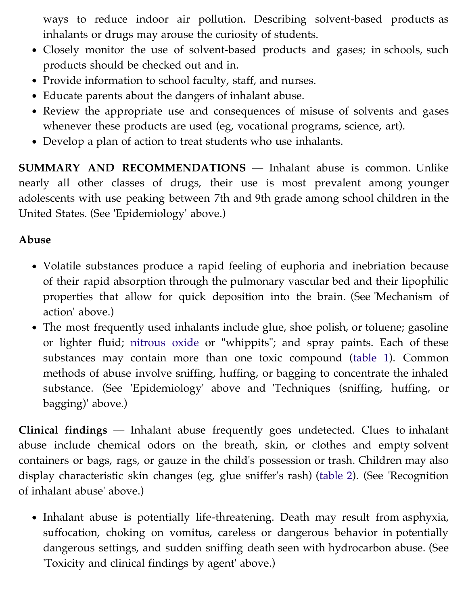ways to reduce indoor air pollution. Describing solvent-based products as inhalants or drugs may arouse the curiosity of students.

- Closely monitor the use of solvent-based products and gases; in schools, such products should be checked out and in.
- Provide information to school faculty, staff, and nurses.
- Educate parents about the dangers of inhalant abuse.
- Review the appropriate use and consequences of misuse of solvents and gases whenever these products are used (eg, vocational programs, science, art).
- Develop a plan of action to treat students who use inhalants.

**SUMMARY AND RECOMMENDATIONS** — Inhalant abuse is common. Unlike nearly all other classes of drugs, their use is most prevalent among younger adolescents with use peaking between 7th and 9th grade among school children in the United States. (See 'Epidemiology' above.)

## **Abuse**

- Volatile substances produce a rapid feeling of euphoria and inebriation because of their rapid absorption through the pulmonary vascular bed and their lipophilic properties that allow for quick deposition into the brain. (See 'Mechanism of action' above.)
- The most frequently used inhalants include glue, shoe polish, or toluene; gasoline or lighter fluid; [nitrous oxide](https://vpn.ucsf.edu/online/content/,DanaInfo=www.uptodate.com+topic.do?topicKey=drug_l_z/36265&source=see_link) or "whippits"; and spray paints. Each of these substances may contain more than one toxic compound ([table 1](https://vpn.ucsf.edu/online/content/,DanaInfo=www.uptodate.com+image.do?imageKey=PEDS%2F21308)). Common methods of abuse involve sniffing, huffing, or bagging to concentrate the inhaled substance. (See 'Epidemiology' above and 'Techniques (sniffing, huffing, or bagging)' above.)

**Clinical findings** — Inhalant abuse frequently goes undetected. Clues to inhalant abuse include chemical odors on the breath, skin, or clothes and empty solvent containers or bags, rags, or gauze in the child's possession or trash. Children may also display characteristic skin changes (eg, glue sniffer's rash) ([table 2](https://vpn.ucsf.edu/online/content/,DanaInfo=www.uptodate.com+image.do?imageKey=PEDS%2F21118)). (See 'Recognition of inhalant abuse' above.)

• Inhalant abuse is potentially life-threatening. Death may result from asphyxia, suffocation, choking on vomitus, careless or dangerous behavior in potentially dangerous settings, and sudden sniffing death seen with hydrocarbon abuse. (See 'Toxicity and clinical findings by agent' above.)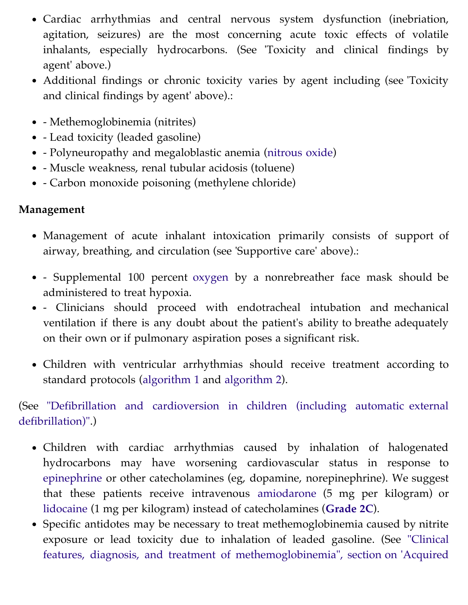- Cardiac arrhythmias and central nervous system dysfunction (inebriation, agitation, seizures) are the most concerning acute toxic effects of volatile inhalants, especially hydrocarbons. (See 'Toxicity and clinical findings by agent' above.)
- Additional findings or chronic toxicity varies by agent including (see 'Toxicity and clinical findings by agent' above).:
- - Methemoglobinemia (nitrites)
- Lead toxicity (leaded gasoline)
- Polyneuropathy and megaloblastic anemia ([nitrous oxide\)](https://vpn.ucsf.edu/online/content/,DanaInfo=www.uptodate.com+topic.do?topicKey=drug_l_z/36265&source=see_link)
- Muscle weakness, renal tubular acidosis (toluene)
- Carbon monoxide poisoning (methylene chloride)

## **Management**

- Management of acute inhalant intoxication primarily consists of support of airway, breathing, and circulation (see 'Supportive care' above).:
- Supplemental 100 percent [oxygen](https://vpn.ucsf.edu/online/content/,DanaInfo=www.uptodate.com+topic.do?topicKey=drug_l_z/59794&source=see_link) by a nonrebreather face mask should be administered to treat hypoxia.
- Clinicians should proceed with endotracheal intubation and mechanical ventilation if there is any doubt about the patient's ability to breathe adequately on their own or if pulmonary aspiration poses a significant risk.
- Children with ventricular arrhythmias should receive treatment according to standard protocols ([algorithm 1](https://vpn.ucsf.edu/online/content/,DanaInfo=www.uptodate.com+image.do?imageKey=PEDS%2F20586) and [algorithm 2](https://vpn.ucsf.edu/online/content/,DanaInfo=www.uptodate.com+image.do?imageKey=PEDS%2F20587)).

[\(See "Defibrillation and cardioversion in children \(including automatic external](https://vpn.ucsf.edu/online/content/,DanaInfo=www.uptodate.com+topic.do?topicKey=ped_proc/11155&source=see_link) defibrillation)".)

- Children with cardiac arrhythmias caused by inhalation of halogenated hydrocarbons may have worsening cardiovascular status in response to [epinephrine](https://vpn.ucsf.edu/online/content/,DanaInfo=www.uptodate.com+topic.do?topicKey=ped_drug/68589&source=see_link) or other catecholamines (eg, dopamine, norepinephrine). We suggest that these patients receive intravenous [amiodarone](https://vpn.ucsf.edu/online/content/,DanaInfo=www.uptodate.com+topic.do?topicKey=ped_drug/11177&source=see_link) (5 mg per kilogram) or [lidocaine](https://vpn.ucsf.edu/online/content/,DanaInfo=www.uptodate.com+topic.do?topicKey=ped_drug/103058&source=see_link) (1 mg per kilogram) instead of catecholamines (**[Grade 2C](https://vpn.ucsf.edu/online/content/,DanaInfo=www.uptodate.com+grade.do?gradeId=6&title=Grade+2C)**).
- Specific antidotes may be necessary to treat methemoglobinemia caused by nitrite [exposure or lead toxicity due to inhalation of leaded gasoline. \(See "Clinical](https://vpn.ucsf.edu/online/content/,DanaInfo=www.uptodate.com+topic.do?topicKey=red_cell/17575&source=see_link&anchor=H13#H13) features, diagnosis, and treatment of methemoglobinemia", section on 'Acquired